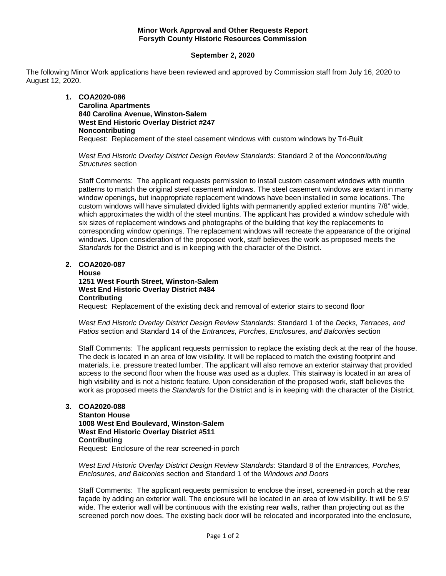## **Minor Work Approval and Other Requests Report Forsyth County Historic Resources Commission**

## **September 2, 2020**

The following Minor Work applications have been reviewed and approved by Commission staff from July 16, 2020 to August 12, 2020.

> **1. COA2020-086 Carolina Apartments 840 Carolina Avenue, Winston-Salem West End Historic Overlay District #247 Noncontributing** Request: Replacement of the steel casement windows with custom windows by Tri-Built

*West End Historic Overlay District Design Review Standards:* Standard 2 of the *Noncontributing Structures* section

Staff Comments: The applicant requests permission to install custom casement windows with muntin patterns to match the original steel casement windows. The steel casement windows are extant in many window openings, but inappropriate replacement windows have been installed in some locations. The custom windows will have simulated divided lights with permanently applied exterior muntins 7/8" wide, which approximates the width of the steel muntins. The applicant has provided a window schedule with six sizes of replacement windows and photographs of the building that key the replacements to corresponding window openings. The replacement windows will recreate the appearance of the original windows. Upon consideration of the proposed work, staff believes the work as proposed meets the *Standards* for the District and is in keeping with the character of the District.

## **2. COA2020-087**

**House 1251 West Fourth Street, Winston-Salem West End Historic Overlay District #484 Contributing**

Request: Replacement of the existing deck and removal of exterior stairs to second floor

*West End Historic Overlay District Design Review Standards:* Standard 1 of the *Decks, Terraces, and Patios* section and Standard 14 of the *Entrances, Porches, Enclosures, and Balconies* section

Staff Comments: The applicant requests permission to replace the existing deck at the rear of the house. The deck is located in an area of low visibility. It will be replaced to match the existing footprint and materials, i.e. pressure treated lumber. The applicant will also remove an exterior stairway that provided access to the second floor when the house was used as a duplex. This stairway is located in an area of high visibility and is not a historic feature. Upon consideration of the proposed work, staff believes the work as proposed meets the *Standards* for the District and is in keeping with the character of the District.

# **3. COA2020-088**

**Stanton House 1008 West End Boulevard, Winston-Salem West End Historic Overlay District #511 Contributing** Request: Enclosure of the rear screened-in porch

*West End Historic Overlay District Design Review Standards:* Standard 8 of the *Entrances, Porches, Enclosures, and Balconies* section and Standard 1 of the *Windows and Doors*

Staff Comments: The applicant requests permission to enclose the inset, screened-in porch at the rear façade by adding an exterior wall. The enclosure will be located in an area of low visibility. It will be 9.5' wide. The exterior wall will be continuous with the existing rear walls, rather than projecting out as the screened porch now does. The existing back door will be relocated and incorporated into the enclosure,